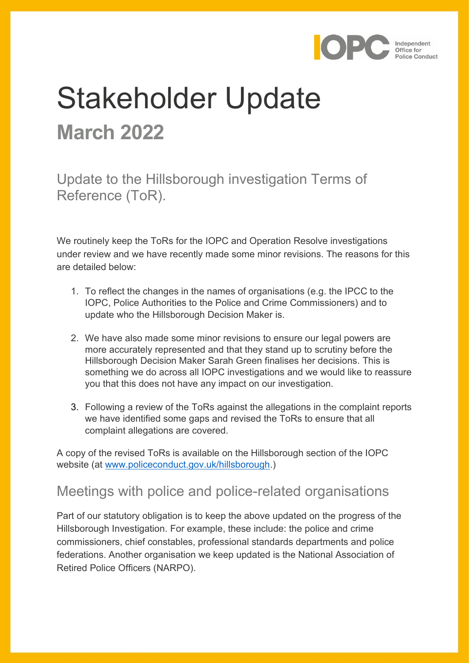

# Stakeholder Update **March 2022**

Update to the Hillsborough investigation Terms of Reference (ToR).

We routinely keep the ToRs for the IOPC and Operation Resolve investigations under review and we have recently made some minor revisions. The reasons for this are detailed below:

- 1. To reflect the changes in the names of organisations (e.g. the IPCC to the IOPC, Police Authorities to the Police and Crime Commissioners) and to update who the Hillsborough Decision Maker is.
- 2. We have also made some minor revisions to ensure our legal powers are more accurately represented and that they stand up to scrutiny before the Hillsborough Decision Maker Sarah Green finalises her decisions. This is something we do across all IOPC investigations and we would like to reassure you that this does not have any impact on our investigation.
- 3. Following a review of the ToRs against the allegations in the complaint reports we have identified some gaps and revised the ToRs to ensure that all complaint allegations are covered.

A copy of the revised ToRs is available on the Hillsborough section of the IOPC website (at [www.policeconduct.gov.uk/hillsborough.](http://www.policeconduct.gov.uk/hillsborough))

### Meetings with police and police-related organisations

Part of our statutory obligation is to keep the above updated on the progress of the Hillsborough Investigation. For example, these include: the police and crime commissioners, chief constables, professional standards departments and police federations. Another organisation we keep updated is the National Association of Retired Police Officers (NARPO).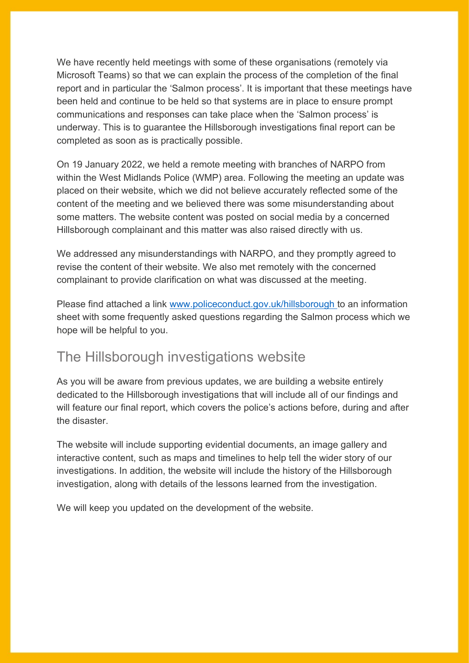We have recently held meetings with some of these organisations (remotely via Microsoft Teams) so that we can explain the process of the completion of the final report and in particular the 'Salmon process'. It is important that these meetings have been held and continue to be held so that systems are in place to ensure prompt communications and responses can take place when the 'Salmon process' is underway. This is to guarantee the Hillsborough investigations final report can be completed as soon as is practically possible.

On 19 January 2022, we held a remote meeting with branches of NARPO from within the West Midlands Police (WMP) area. Following the meeting an update was placed on their website, which we did not believe accurately reflected some of the content of the meeting and we believed there was some misunderstanding about some matters. The website content was posted on social media by a concerned Hillsborough complainant and this matter was also raised directly with us.

We addressed any misunderstandings with NARPO, and they promptly agreed to revise the content of their website. We also met remotely with the concerned complainant to provide clarification on what was discussed at the meeting.

Please find attached a link [www.policeconduct.gov.uk/hillsborough](http://www.policeconduct.gov.uk/hillsborough) to an information sheet with some frequently asked questions regarding the Salmon process which we hope will be helpful to you.

#### The Hillsborough investigations website

As you will be aware from previous updates, we are building a website entirely dedicated to the Hillsborough investigations that will include all of our findings and will feature our final report, which covers the police's actions before, during and after the disaster.

The website will include supporting evidential documents, an image gallery and interactive content, such as maps and timelines to help tell the wider story of our investigations. In addition, the website will include the history of the Hillsborough investigation, along with details of the lessons learned from the investigation.

We will keep you updated on the development of the website.